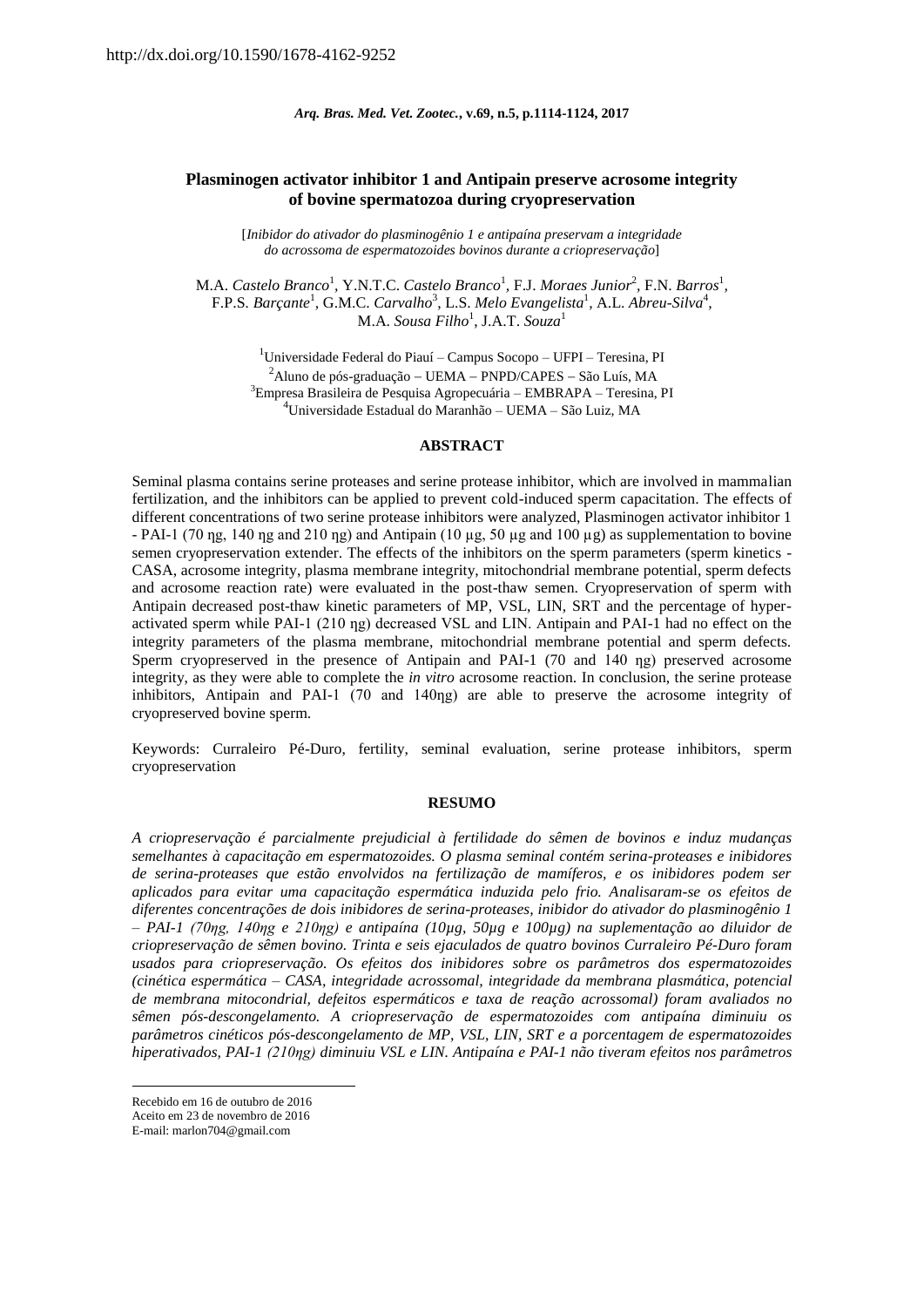#### *Arq. Bras. Med. Vet. Zootec.***, v.69, n.5, p.1114-1124, 2017**

# **Plasminogen activator inhibitor 1 and Antipain preserve acrosome integrity of bovine spermatozoa during cryopreservation**

[*Inibidor do ativador do plasminogênio 1 e antipaína preservam a integridade do acrossoma de espermatozoides bovinos durante a criopreservação*]

M.A. *Castelo Branco*<sup>1</sup>, Y.N.T.C. *Castelo Branco*<sup>1</sup>, F.J. *Moraes Junior*<sup>2</sup>, F.N. *Barros*<sup>1</sup>, F.P.S. Barçante<sup>1</sup>, G.M.C. Carvalho<sup>3</sup>, L.S. Melo Evangelista<sup>1</sup>, A.L. Abreu-Silva<sup>4</sup>, M.A. *Sousa Filho*<sup>1</sup> , J.A.T. *Souza*<sup>1</sup>

> $1$ Universidade Federal do Piauí – Campus Socopo – UFPI – Teresina, PI  $^{2}$ Aluno de pós-graduação – UEMA – PNPD/CAPES – São Luís, MA <sup>3</sup>Empresa Brasileira de Pesquisa Agropecuária – EMBRAPA – Teresina, PI  $^4$ Universidade Estadual do Maranhão – UEMA – São Luiz, MA

### **ABSTRACT**

Seminal plasma contains serine proteases and serine protease inhibitor, which are involved in mammalian fertilization, and the inhibitors can be applied to prevent cold-induced sperm capacitation. The effects of different concentrations of two serine protease inhibitors were analyzed, Plasminogen activator inhibitor 1 - PAI-1 (70 ng, 140 ng and 210 ng) and Antipain (10 µg, 50 µg and 100 µg) as supplementation to bovine semen cryopreservation extender. The effects of the inhibitors on the sperm parameters (sperm kinetics - CASA, acrosome integrity, plasma membrane integrity, mitochondrial membrane potential, sperm defects and acrosome reaction rate) were evaluated in the post-thaw semen. Cryopreservation of sperm with Antipain decreased post-thaw kinetic parameters of MP, VSL, LIN, SRT and the percentage of hyperactivated sperm while PAI-1 (210 ng) decreased VSL and LIN. Antipain and PAI-1 had no effect on the integrity parameters of the plasma membrane, mitochondrial membrane potential and sperm defects. Sperm cryopreserved in the presence of Antipain and PAI-1 (70 and 140 ng) preserved acrosome integrity, as they were able to complete the *in vitro* acrosome reaction. In conclusion, the serine protease inhibitors, Antipain and PAI-1  $(70 \text{ and } 140 \text{ng})$  are able to preserve the acrosome integrity of cryopreserved bovine sperm.

Keywords: Curraleiro Pé-Duro, fertility, seminal evaluation, serine protease inhibitors, sperm cryopreservation

### **RESUMO**

*A criopreservação é parcialmente prejudicial à fertilidade do sêmen de bovinos e induz mudanças semelhantes à capacitação em espermatozoides. O plasma seminal contém serina-proteases e inibidores de serina-proteases que estão envolvidos na fertilização de mamíferos, e os inibidores podem ser aplicados para evitar uma capacitação espermática induzida pelo frio. Analisaram-se os efeitos de diferentes concentrações de dois inibidores de serina-proteases, inibidor do ativador do plasminogênio 1 – PAI-1 (70ƞg, 140ƞg e 210ƞg) e antipaína (10µg, 50µg e 100µg) na suplementação ao diluidor de criopreservação de sêmen bovino. Trinta e seis ejaculados de quatro bovinos Curraleiro Pé-Duro foram usados para criopreservação. Os efeitos dos inibidores sobre os parâmetros dos espermatozoides (cinética espermática – CASA, integridade acrossomal, integridade da membrana plasmática, potencial de membrana mitocondrial, defeitos espermáticos e taxa de reação acrossomal) foram avaliados no sêmen pós-descongelamento. A criopreservação de espermatozoides com antipaína diminuiu os parâmetros cinéticos pós-descongelamento de MP, VSL, LIN, SRT e a porcentagem de espermatozoides hiperativados, PAI-1 (210ƞg) diminuiu VSL e LIN. Antipaína e PAI-1 não tiveram efeitos nos parâmetros*

**<sup>.</sup>** Recebido em 16 de outubro de 2016

Aceito em 23 de novembro de 2016

E-mail: marlon704@gmail.com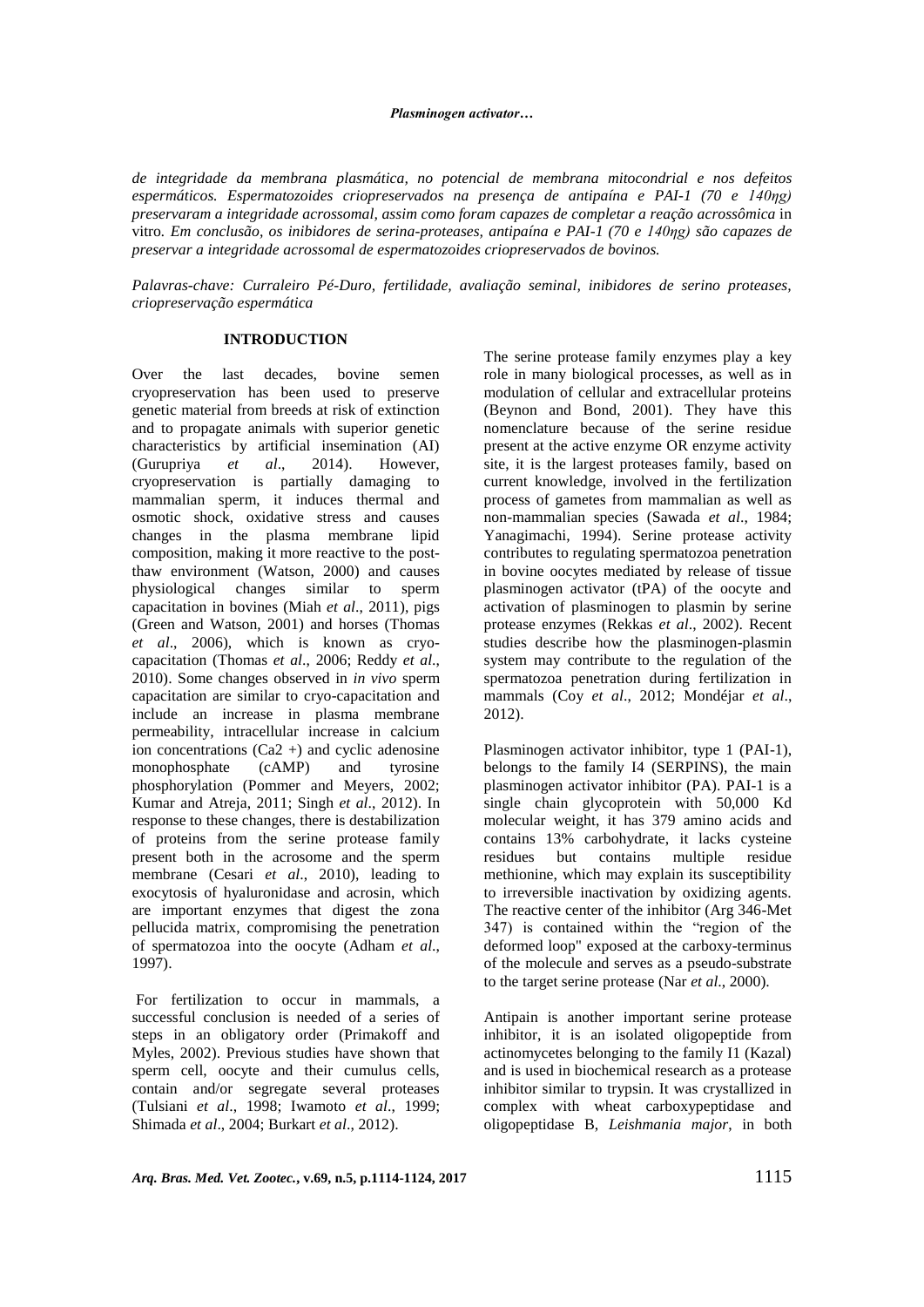### *Plasminogen activator…*

*de integridade da membrana plasmática, no potencial de membrana mitocondrial e nos defeitos espermáticos. Espermatozoides criopreservados na presença de antipaína e PAI-1 (70 e 140ƞg) preservaram a integridade acrossomal, assim como foram capazes de completar a reação acrossômica* in vitro*. Em conclusão, os inibidores de serina-proteases, antipaína e PAI-1 (70 e 140ƞg) são capazes de preservar a integridade acrossomal de espermatozoides criopreservados de bovinos.*

*Palavras-chave: Curraleiro Pé-Duro, fertilidade, avaliação seminal, inibidores de serino proteases, criopreservação espermática*

## **INTRODUCTION**

Over the last decades, bovine semen cryopreservation has been used to preserve genetic material from breeds at risk of extinction and to propagate animals with superior genetic characteristics by artificial insemination (AI) (Gurupriya *et al*., 2014). However, cryopreservation is partially damaging to mammalian sperm, it induces thermal and osmotic shock, oxidative stress and causes changes in the plasma membrane lipid composition, making it more reactive to the postthaw environment (Watson, 2000) and causes physiological changes similar to sperm capacitation in bovines (Miah *et al*., 2011), pigs (Green and Watson, 2001) and horses (Thomas *et al*., 2006), which is known as cryocapacitation (Thomas *et al*., 2006; Reddy *et al*., 2010). Some changes observed in *in vivo* sperm capacitation are similar to cryo-capacitation and include an increase in plasma membrane permeability, intracellular increase in calcium ion concentrations  $(Ca2 + )$  and cyclic adenosine monophosphate (cAMP) and tyrosine phosphorylation (Pommer and Meyers, 2002; Kumar and Atreja, 2011; Singh *et al*., 2012). In response to these changes, there is destabilization of proteins from the serine protease family present both in the acrosome and the sperm membrane (Cesari *et al*., 2010), leading to exocytosis of hyaluronidase and acrosin, which are important enzymes that digest the zona pellucida matrix, compromising the penetration of spermatozoa into the oocyte (Adham *et al*., 1997).

For fertilization to occur in mammals, a successful conclusion is needed of a series of steps in an obligatory order (Primakoff and Myles, 2002). Previous studies have shown that sperm cell, oocyte and their cumulus cells, contain and/or segregate several proteases (Tulsiani *et al*., 1998; Iwamoto *et al*., 1999; Shimada *et al*., 2004; Burkart *et al*., 2012).

The serine protease family enzymes play a key role in many biological processes, as well as in modulation of cellular and extracellular proteins (Beynon and Bond, 2001). They have this nomenclature because of the serine residue present at the active enzyme OR enzyme activity site, it is the largest proteases family, based on current knowledge, involved in the fertilization process of gametes from mammalian as well as non-mammalian species (Sawada *et al*., 1984; Yanagimachi, 1994). Serine protease activity contributes to regulating spermatozoa penetration in bovine oocytes mediated by release of tissue plasminogen activator (tPA) of the oocyte and activation of plasminogen to plasmin by serine protease enzymes (Rekkas *et al*., 2002). Recent studies describe how the plasminogen-plasmin system may contribute to the regulation of the spermatozoa penetration during fertilization in mammals (Coy *et al*., 2012; Mondéjar *et al*., 2012).

Plasminogen activator inhibitor, type 1 (PAI-1), belongs to the family I4 (SERPINS), the main plasminogen activator inhibitor (PA). PAI-1 is a single chain glycoprotein with 50,000 Kd molecular weight, it has 379 amino acids and contains 13% carbohydrate, it lacks cysteine residues but contains multiple residue methionine, which may explain its susceptibility to irreversible inactivation by oxidizing agents. The reactive center of the inhibitor (Arg 346-Met 347) is contained within the "region of the deformed loop" exposed at the carboxy-terminus of the molecule and serves as a pseudo-substrate to the target serine protease (Nar *et al*., 2000).

Antipain is another important serine protease inhibitor, it is an isolated oligopeptide from actinomycetes belonging to the family I1 (Kazal) and is used in biochemical research as a protease inhibitor similar to trypsin. It was crystallized in complex with wheat carboxypeptidase and oligopeptidase B, *Leishmania major*, in both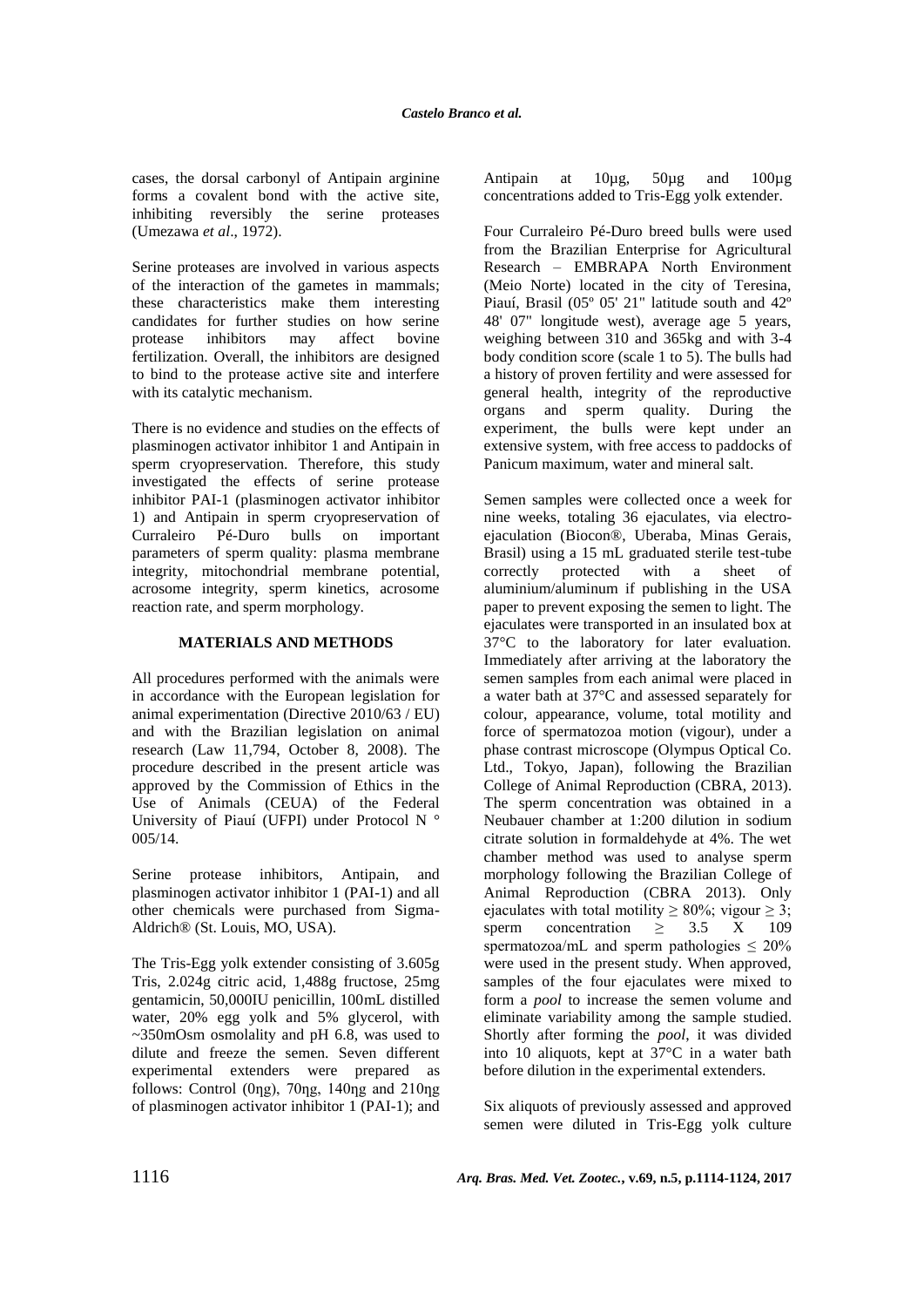cases, the dorsal carbonyl of Antipain arginine forms a covalent bond with the active site, inhibiting reversibly the serine proteases (Umezawa *et al*., 1972).

Serine proteases are involved in various aspects of the interaction of the gametes in mammals; these characteristics make them interesting candidates for further studies on how serine protease inhibitors may affect bovine fertilization. Overall, the inhibitors are designed to bind to the protease active site and interfere with its catalytic mechanism.

There is no evidence and studies on the effects of plasminogen activator inhibitor 1 and Antipain in sperm cryopreservation. Therefore, this study investigated the effects of serine protease inhibitor PAI-1 (plasminogen activator inhibitor 1) and Antipain in sperm cryopreservation of Curraleiro Pé-Duro bulls on important parameters of sperm quality: plasma membrane integrity, mitochondrial membrane potential, acrosome integrity, sperm kinetics, acrosome reaction rate, and sperm morphology.

# **MATERIALS AND METHODS**

All procedures performed with the animals were in accordance with the European legislation for animal experimentation (Directive 2010/63 / EU) and with the Brazilian legislation on animal research (Law 11,794, October 8, 2008). The procedure described in the present article was approved by the Commission of Ethics in the Use of Animals (CEUA) of the Federal University of Piauí (UFPI) under Protocol N ° 005/14.

Serine protease inhibitors, Antipain, and plasminogen activator inhibitor 1 (PAI-1) and all other chemicals were purchased from Sigma-Aldrich® (St. Louis, MO, USA).

The Tris-Egg yolk extender consisting of 3.605g Tris, 2.024g citric acid, 1,488g fructose, 25mg gentamicin, 50,000IU penicillin, 100mL distilled water, 20% egg yolk and 5% glycerol, with ~350mOsm osmolality and pH 6.8, was used to dilute and freeze the semen. Seven different experimental extenders were prepared as follows: Control ( $0$ ng),  $70$ ng,  $140$ ng and  $210$ ng of plasminogen activator inhibitor 1 (PAI-1); and Antipain at 10µg, 50µg and 100µg concentrations added to Tris-Egg yolk extender.

Four Curraleiro Pé-Duro breed bulls were used from the Brazilian Enterprise for Agricultural Research – EMBRAPA North Environment (Meio Norte) located in the city of Teresina, Piauí, Brasil (05º 05' 21" latitude south and 42º 48' 07" longitude west), average age 5 years, weighing between 310 and 365kg and with 3-4 body condition score (scale 1 to 5). The bulls had a history of proven fertility and were assessed for general health, integrity of the reproductive organs and sperm quality. During the experiment, the bulls were kept under an extensive system, with free access to paddocks of Panicum maximum, water and mineral salt.

Semen samples were collected once a week for nine weeks, totaling 36 ejaculates, via electroejaculation (Biocon®, Uberaba, Minas Gerais, Brasil) using a 15 mL graduated sterile test-tube<br>correctly protected with a sheet of protected with a sheet of aluminium/aluminum if publishing in the USA paper to prevent exposing the semen to light. The ejaculates were transported in an insulated box at 37°C to the laboratory for later evaluation. Immediately after arriving at the laboratory the semen samples from each animal were placed in a water bath at 37°C and assessed separately for colour, appearance, volume, total motility and force of spermatozoa motion (vigour), under a phase contrast microscope (Olympus Optical Co. Ltd., Tokyo, Japan), following the Brazilian College of Animal Reproduction (CBRA, 2013). The sperm concentration was obtained in a Neubauer chamber at 1:200 dilution in sodium citrate solution in formaldehyde at 4%. The wet chamber method was used to analyse sperm morphology following the Brazilian College of Animal Reproduction (CBRA 2013). Only ejaculates with total motility  $\geq 80\%$ ; vigour  $\geq 3$ ; sperm concentration  $> 3.5$  X 109 spermatozoa/mL and sperm pathologies  $\leq 20\%$ were used in the present study. When approved, samples of the four ejaculates were mixed to form a *pool* to increase the semen volume and eliminate variability among the sample studied. Shortly after forming the *pool*, it was divided into 10 aliquots, kept at 37°C in a water bath before dilution in the experimental extenders.

Six aliquots of previously assessed and approved semen were diluted in Tris-Egg yolk culture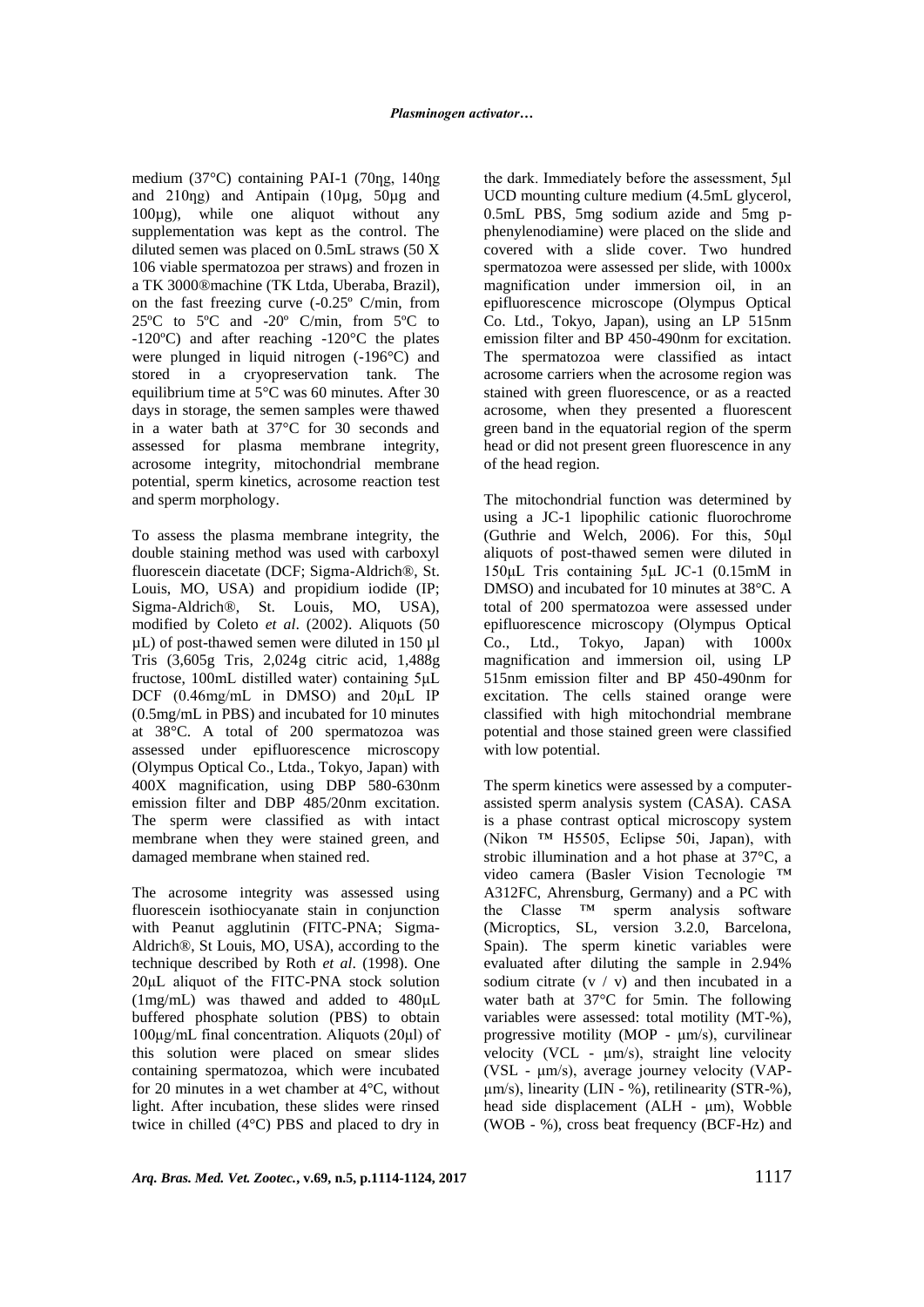medium (37 $\degree$ C) containing PAI-1 (70ng, 140ng and 210ng) and Antipain (10µg, 50µg and 100µg), while one aliquot without any supplementation was kept as the control. The diluted semen was placed on 0.5mL straws (50 X 106 viable spermatozoa per straws) and frozen in a TK 3000®machine (TK Ltda, Uberaba, Brazil), on the fast freezing curve (-0.25º C/min, from 25ºC to 5ºC and -20º C/min, from 5ºC to -120ºC) and after reaching -120°C the plates were plunged in liquid nitrogen (-196°C) and stored in a cryopreservation tank. The equilibrium time at 5°C was 60 minutes. After 30 days in storage, the semen samples were thawed in a water bath at 37°C for 30 seconds and assessed for plasma membrane integrity, acrosome integrity, mitochondrial membrane potential, sperm kinetics, acrosome reaction test and sperm morphology.

To assess the plasma membrane integrity, the double staining method was used with carboxyl fluorescein diacetate (DCF; Sigma-Aldrich®, St. Louis, MO, USA) and propidium iodide (IP; Sigma-Aldrich®, St. Louis, MO, USA), modified by Coleto *et al*. (2002). Aliquots (50 µL) of post-thawed semen were diluted in 150 µl Tris (3,605g Tris, 2,024g citric acid, 1,488g fructose, 100mL distilled water) containing 5μL DCF (0.46mg/mL in DMSO) and 20μL IP (0.5mg/mL in PBS) and incubated for 10 minutes at 38°C. A total of 200 spermatozoa was assessed under epifluorescence microscopy (Olympus Optical Co., Ltda., Tokyo, Japan) with 400X magnification, using DBP 580-630nm emission filter and DBP 485/20nm excitation. The sperm were classified as with intact membrane when they were stained green, and damaged membrane when stained red.

The acrosome integrity was assessed using fluorescein isothiocyanate stain in conjunction with Peanut agglutinin (FITC-PNA; Sigma-Aldrich®, St Louis, MO, USA), according to the technique described by Roth *et al*. (1998). One 20μL aliquot of the FITC-PNA stock solution (1mg/mL) was thawed and added to 480μL buffered phosphate solution (PBS) to obtain 100μg/mL final concentration. Aliquots (20μl) of this solution were placed on smear slides containing spermatozoa, which were incubated for 20 minutes in a wet chamber at 4°C, without light. After incubation, these slides were rinsed twice in chilled (4°C) PBS and placed to dry in the dark. Immediately before the assessment, 5μl UCD mounting culture medium (4.5mL glycerol, 0.5mL PBS, 5mg sodium azide and 5mg pphenylenodiamine) were placed on the slide and covered with a slide cover. Two hundred spermatozoa were assessed per slide, with 1000x magnification under immersion oil, in an epifluorescence microscope (Olympus Optical Co. Ltd., Tokyo, Japan), using an LP 515nm emission filter and BP 450-490nm for excitation. The spermatozoa were classified as intact acrosome carriers when the acrosome region was stained with green fluorescence, or as a reacted acrosome, when they presented a fluorescent green band in the equatorial region of the sperm head or did not present green fluorescence in any of the head region.

The mitochondrial function was determined by using a JC-1 lipophilic cationic fluorochrome (Guthrie and Welch, 2006). For this, 50μl aliquots of post-thawed semen were diluted in 150μL Tris containing 5μL JC-1 (0.15mM in DMSO) and incubated for 10 minutes at 38°C. A total of 200 spermatozoa were assessed under epifluorescence microscopy (Olympus Optical Co., Ltd., Tokyo, Japan) with 1000x magnification and immersion oil, using LP 515nm emission filter and BP 450-490nm for excitation. The cells stained orange were classified with high mitochondrial membrane potential and those stained green were classified with low potential.

The sperm kinetics were assessed by a computerassisted sperm analysis system (CASA). CASA is a phase contrast optical microscopy system (Nikon ™ H5505, Eclipse 50i, Japan), with strobic illumination and a hot phase at 37°C, a video camera (Basler Vision Tecnologie ™ A312FC, Ahrensburg, Germany) and a PC with the Classe ™ sperm analysis software (Microptics, SL, version 3.2.0, Barcelona, Spain). The sperm kinetic variables were evaluated after diluting the sample in 2.94% sodium citrate  $(v / v)$  and then incubated in a water bath at 37°C for 5min. The following variables were assessed: total motility (MT-%), progressive motility (MOP - μm/s), curvilinear velocity (VCL - μm/s), straight line velocity (VSL - μm/s), average journey velocity (VAPμm/s), linearity (LIN - %), retilinearity (STR-%), head side displacement (ALH - μm), Wobble (WOB - %), cross beat frequency (BCF-Hz) and

*Arq. Bras. Med. Vet. Zootec.***, v.69, n.5, p.1114-1124, 2017** 1117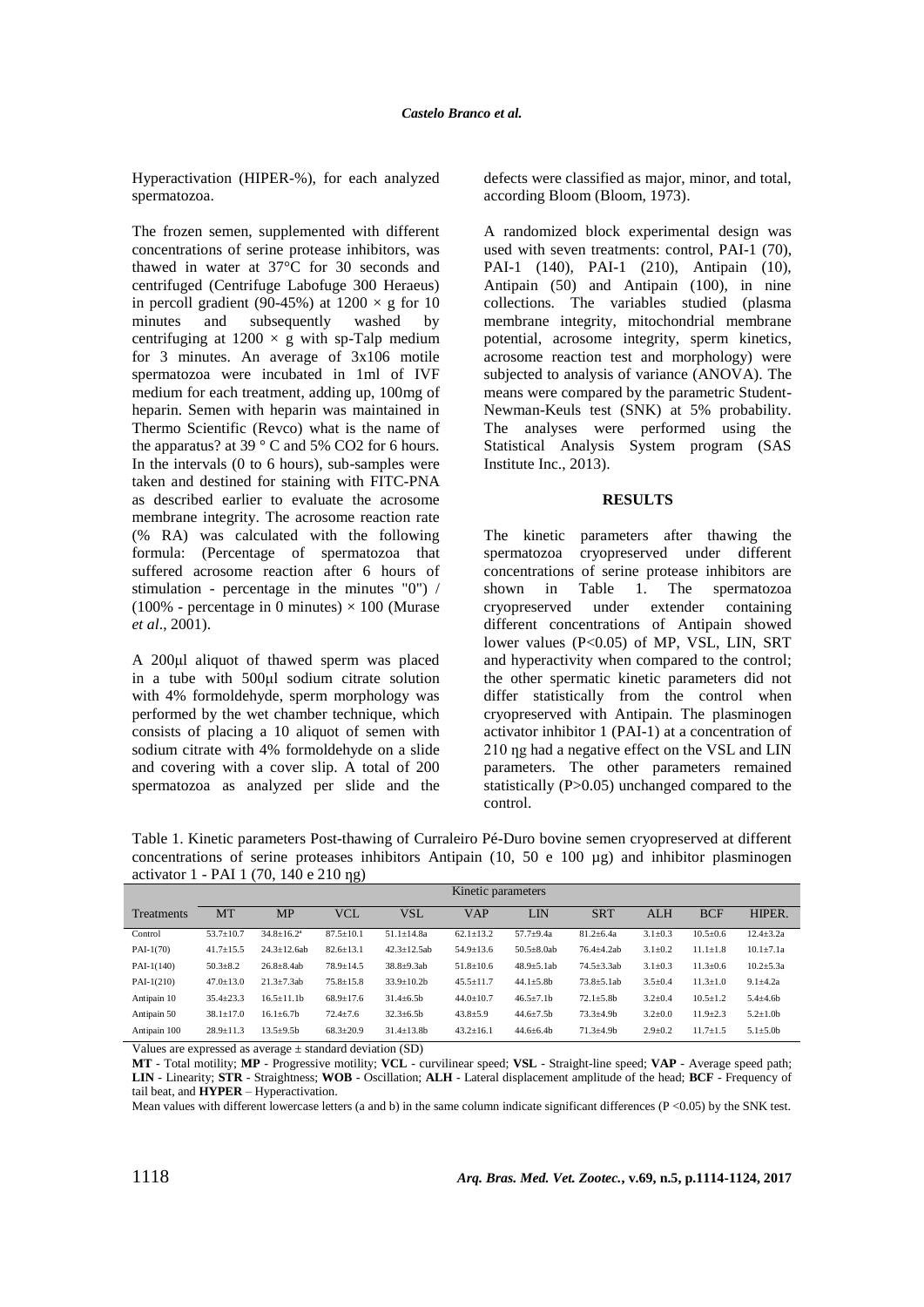Hyperactivation (HIPER-%), for each analyzed spermatozoa.

The frozen semen, supplemented with different concentrations of serine protease inhibitors, was thawed in water at 37°C for 30 seconds and centrifuged (Centrifuge Labofuge 300 Heraeus) in percoll gradient (90-45%) at  $1200 \times g$  for 10 minutes and subsequently washed by centrifuging at  $1200 \times g$  with sp-Talp medium for 3 minutes. An average of 3x106 motile spermatozoa were incubated in 1ml of IVF medium for each treatment, adding up, 100mg of heparin. Semen with heparin was maintained in Thermo Scientific (Revco) what is the name of the apparatus? at 39 ° C and 5% CO2 for 6 hours. In the intervals (0 to 6 hours), sub-samples were taken and destined for staining with FITC-PNA as described earlier to evaluate the acrosome membrane integrity. The acrosome reaction rate (% RA) was calculated with the following formula: (Percentage of spermatozoa that suffered acrosome reaction after 6 hours of stimulation - percentage in the minutes "0") /  $(100\%$  - percentage in 0 minutes)  $\times$  100 (Murase *et al*., 2001).

A 200μl aliquot of thawed sperm was placed in a tube with 500μl sodium citrate solution with 4% formoldehyde, sperm morphology was performed by the wet chamber technique, which consists of placing a 10 aliquot of semen with sodium citrate with 4% formoldehyde on a slide and covering with a cover slip. A total of 200 spermatozoa as analyzed per slide and the defects were classified as major, minor, and total, according Bloom (Bloom, 1973).

A randomized block experimental design was used with seven treatments: control, PAI-1 (70), PAI-1 (140), PAI-1 (210), Antipain (10), Antipain (50) and Antipain (100), in nine collections. The variables studied (plasma membrane integrity, mitochondrial membrane potential, acrosome integrity, sperm kinetics, acrosome reaction test and morphology) were subjected to analysis of variance (ANOVA). The means were compared by the parametric Student-Newman-Keuls test (SNK) at 5% probability. The analyses were performed using the Statistical Analysis System program (SAS Institute Inc., 2013).

### **RESULTS**

The kinetic parameters after thawing the spermatozoa cryopreserved under different concentrations of serine protease inhibitors are shown in Table 1. The spermatozoa cryopreserved under extender containing different concentrations of Antipain showed lower values (P<0.05) of MP, VSL, LIN, SRT and hyperactivity when compared to the control; the other spermatic kinetic parameters did not differ statistically from the control when cryopreserved with Antipain. The plasminogen activator inhibitor 1 (PAI-1) at a concentration of 210 ng had a negative effect on the VSL and LIN parameters. The other parameters remained statistically (P>0.05) unchanged compared to the control.

Table 1. Kinetic parameters Post-thawing of Curraleiro Pé-Duro bovine semen cryopreserved at different concentrations of serine proteases inhibitors Antipain (10, 50 e 100  $\mu$ g) and inhibitor plasminogen activator 1 - PAI 1 (70, 140 e 210 ng)

|              | Kinetic parameters |                    |                 |                    |                 |                   |                 |               |                |                 |
|--------------|--------------------|--------------------|-----------------|--------------------|-----------------|-------------------|-----------------|---------------|----------------|-----------------|
| Treatments   | MT                 | <b>MP</b>          | <b>VCL</b>      | VSL                | VAP             | LIN               | <b>SRT</b>      | <b>ALH</b>    | <b>BCF</b>     | HIPER.          |
| Control      | $53.7 \pm 10.7$    | $34.8 \pm 16.2^a$  | $87.5 \pm 10.1$ | $51.1 \pm 14.8a$   | $62.1 \pm 13.2$ | $57.7 + 9.4a$     | $81.2 \pm 6.4a$ | $3.1 \pm 0.3$ | $10.5 \pm 0.6$ | $12.4 + 3.2a$   |
| $PAI-1(70)$  | $41.7 \pm 15.5$    | $24.3 \pm 12.6$ ab | $82.6 \pm 13.1$ | $42.3 \pm 12.5$ ab | $54.9 \pm 13.6$ | $50.5 \pm 8.0$ ab | $76.4 + 4.2ab$  | $3.1 \pm 0.2$ | $11.1 \pm 1.8$ | $10.1 \pm 7.1a$ |
| $PAI-1(140)$ | $50.3 + 8.2$       | $26.8 + 8.4ab$     | $78.9 \pm 14.5$ | $38.8 + 9.3ab$     | $51.8 \pm 10.6$ | $48.9 \pm 5.1$ ab | $74.5 + 3.3ab$  | $3.1 \pm 0.3$ | $11.3 \pm 0.6$ | $10.2 + 5.3a$   |
| $PAI-1(210)$ | $47.0 \pm 13.0$    | $21.3 \pm 7.3ab$   | $75.8 \pm 15.8$ | $33.9 \pm 10.2 b$  | $45.5 \pm 11.7$ | $44.1 \pm 5.8b$   | $73.8 + 5.1ab$  | $3.5 \pm 0.4$ | $11.3 \pm 1.0$ | $9.1 + 4.2a$    |
| Antipain 10  | $35.4 \pm 23.3$    | $16.5 \pm 11.1$ b  | $68.9 \pm 17.6$ | $31.4 \pm 6.5b$    | $44.0 \pm 10.7$ | $46.5 \pm 7.1 b$  | $72.1 \pm 5.8b$ | $3.2 \pm 0.4$ | $10.5 \pm 1.2$ | $5.4 + 4.6$     |
| Antipain 50  | $38.1 \pm 17.0$    | $16.1 \pm 6.7$ b   | $72.4 \pm 7.6$  | $32.3 \pm 6.5b$    | $43.8 \pm 5.9$  | $44.6 \pm 7.5b$   | $73.3 + 4.9b$   | $3.2 \pm 0.0$ | $11.9 \pm 2.3$ | $5.2 \pm 1.0$   |
| Antipain 100 | $28.9 \pm 11.3$    | $13.5 + 9.5b$      | $68.3 \pm 20.9$ | $31.4 \pm 13.8$ b  | $43.2 \pm 16.1$ | $44.6 \pm 6.4$    | $71.3 + 4.9b$   | $2.9 \pm 0.2$ | $11.7 + 1.5$   | $5.1 \pm 5.0$   |

Values are expressed as average ± standard deviation (SD)

**MT** - Total motility; **MP** - Progressive motility; **VCL** - curvilinear speed; **VSL** - Straight-line speed; **VAP** - Average speed path; **LIN** - Linearity; **STR** - Straightness; **WOB** - Oscillation; **ALH** - Lateral displacement amplitude of the head; **BCF** - Frequency of tail beat, and **HYPER** – Hyperactivation.

Mean values with different lowercase letters (a and b) in the same column indicate significant differences (P <0.05) by the SNK test.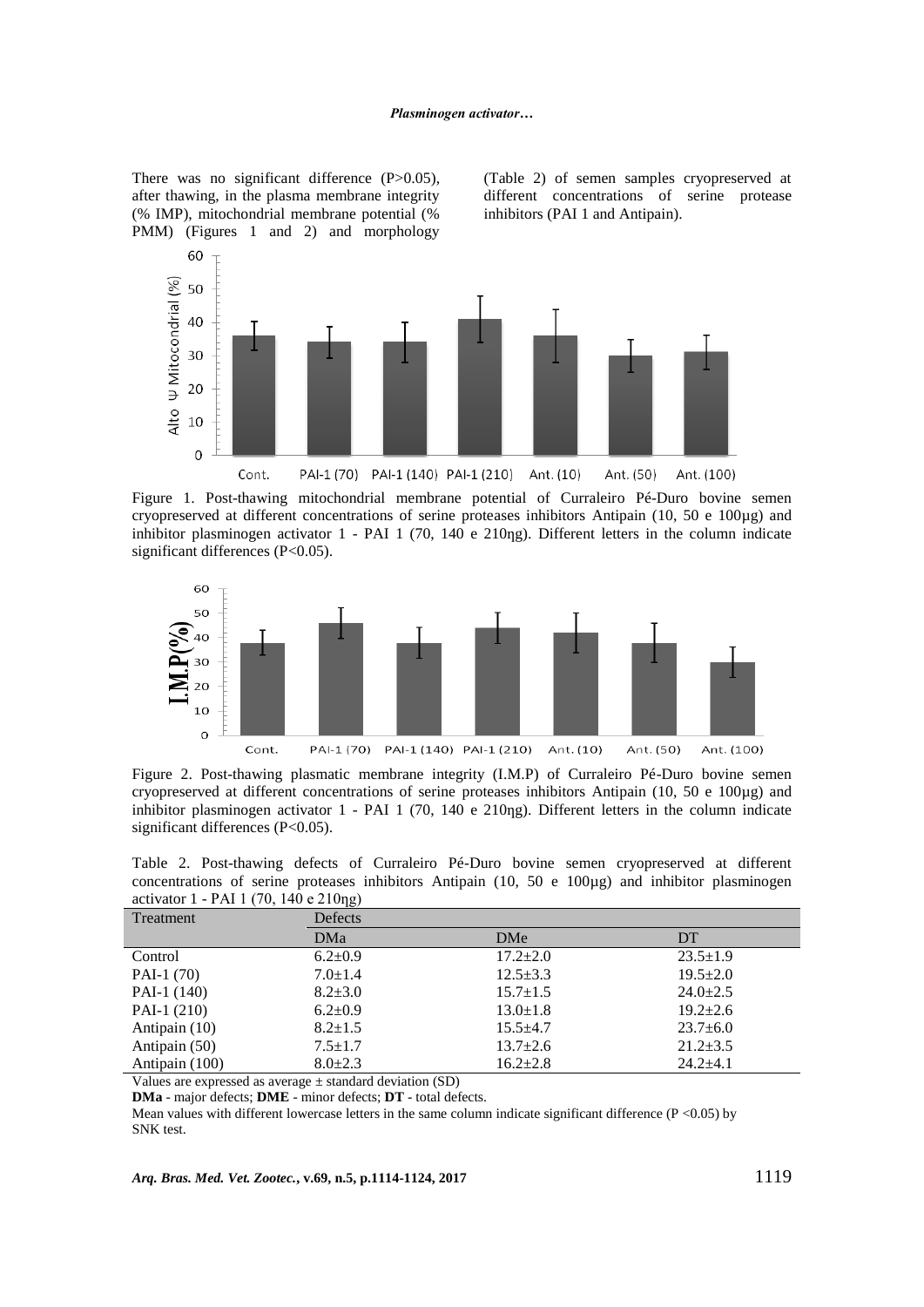There was no significant difference (P>0.05), after thawing, in the plasma membrane integrity (% IMP), mitochondrial membrane potential (% PMM) (Figures 1 and 2) and morphology

(Table 2) of semen samples cryopreserved at different concentrations of serine protease inhibitors (PAI 1 and Antipain).



Figure 1. Post-thawing mitochondrial membrane potential of Curraleiro Pé-Duro bovine semen cryopreserved at different concentrations of serine proteases inhibitors Antipain (10, 50 e 100µg) and inhibitor plasminogen activator 1 - PAI 1 (70, 140 e 210ng). Different letters in the column indicate significant differences (P<0.05).



Figure 2. Post-thawing plasmatic membrane integrity (I.M.P) of Curraleiro Pé-Duro bovine semen cryopreserved at different concentrations of serine proteases inhibitors Antipain (10, 50 e 100µg) and inhibitor plasminogen activator  $1$  - PAI 1 (70, 140 e 210ng). Different letters in the column indicate significant differences (P<0.05).

Table 2. Post-thawing defects of Curraleiro Pé-Duro bovine semen cryopreserved at different concentrations of serine proteases inhibitors Antipain (10, 50 e 100µg) and inhibitor plasminogen activator 1 - PAI 1 (70, 140 e 210 $\eta$ g)

| -107           |               |                |                |  |  |  |  |  |
|----------------|---------------|----------------|----------------|--|--|--|--|--|
| Treatment      | Defects       |                |                |  |  |  |  |  |
|                | DMa           | <b>DMe</b>     | DT             |  |  |  |  |  |
| Control        | $6.2+0.9$     | $17.2 \pm 2.0$ | $23.5 \pm 1.9$ |  |  |  |  |  |
| PAI-1 $(70)$   | $7.0 \pm 1.4$ | $12.5 \pm 3.3$ | $19.5 \pm 2.0$ |  |  |  |  |  |
| PAI-1 (140)    | $8.2 \pm 3.0$ | $15.7 \pm 1.5$ | $24.0 \pm 2.5$ |  |  |  |  |  |
| PAI-1 $(210)$  | $6.2 \pm 0.9$ | $13.0 \pm 1.8$ | $19.2 + 2.6$   |  |  |  |  |  |
| Antipain (10)  | $8.2 \pm 1.5$ | $15.5 \pm 4.7$ | $23.7 \pm 6.0$ |  |  |  |  |  |
| Antipain (50)  | $7.5 \pm 1.7$ | $13.7 \pm 2.6$ | $21.2 \pm 3.5$ |  |  |  |  |  |
| Antipain (100) | $8.0 \pm 2.3$ | $16.2 + 2.8$   | $24.2 + 4.1$   |  |  |  |  |  |

Values are expressed as average  $\pm$  standard deviation (SD)

**DMa** - major defects; **DME** - minor defects; **DT** - total defects.

Mean values with different lowercase letters in the same column indicate significant difference ( $P < 0.05$ ) by SNK test.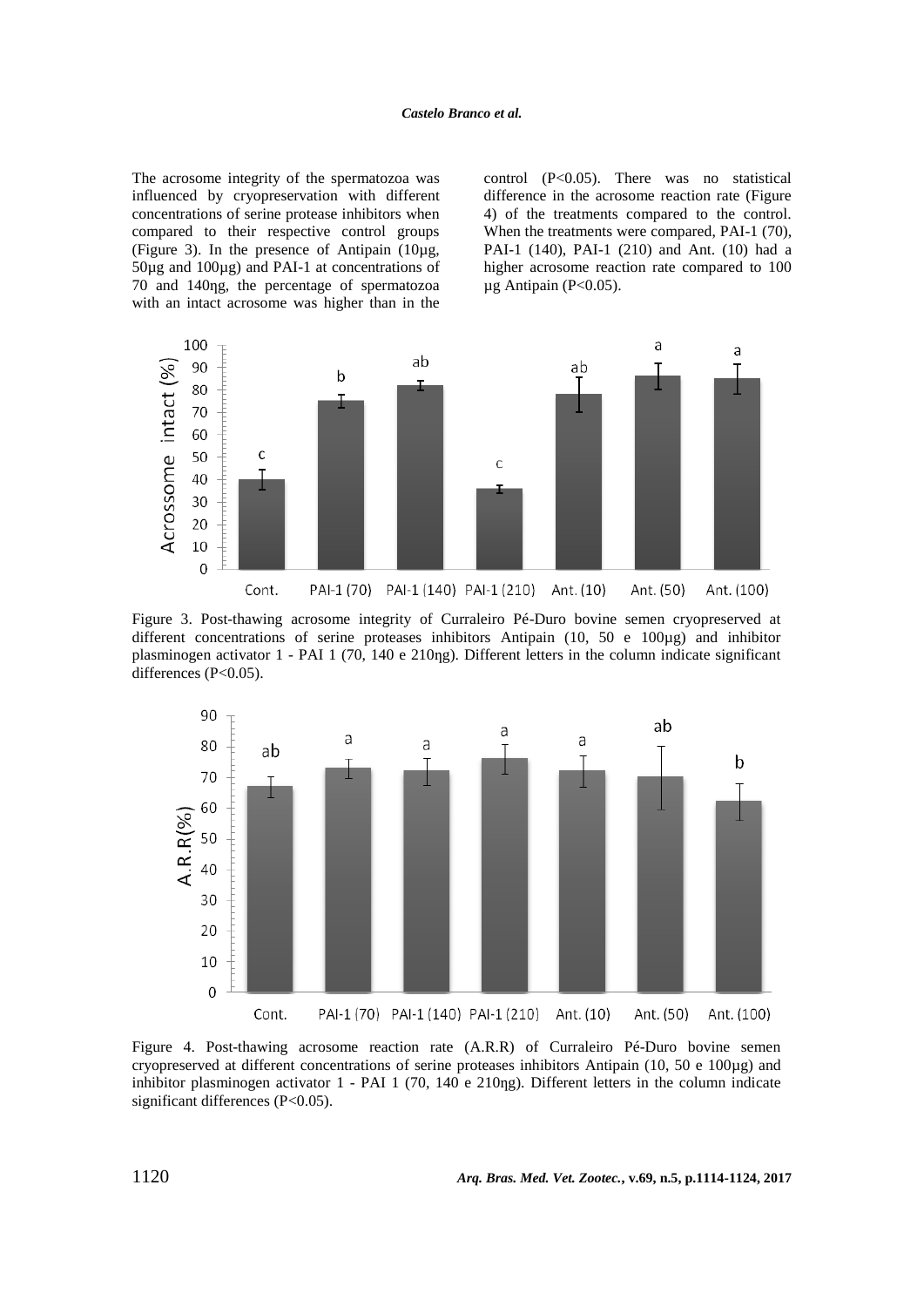The acrosome integrity of the spermatozoa was influenced by cryopreservation with different concentrations of serine protease inhibitors when compared to their respective control groups (Figure 3). In the presence of Antipain (10µg, 50µg and 100µg) and PAI-1 at concentrations of 70 and 140ƞg, the percentage of spermatozoa with an intact acrosome was higher than in the control (P<0.05). There was no statistical difference in the acrosome reaction rate (Figure 4) of the treatments compared to the control. When the treatments were compared, PAI-1 (70), PAI-1 (140), PAI-1 (210) and Ant. (10) had a higher acrosome reaction rate compared to 100 µg Antipain (P<0.05).



Figure 3. Post-thawing acrosome integrity of Curraleiro Pé-Duro bovine semen cryopreserved at different concentrations of serine proteases inhibitors Antipain (10, 50 e 100µg) and inhibitor plasminogen activator 1 - PAI 1 (70, 140 e 210ng). Different letters in the column indicate significant differences (P<0.05).



Figure 4. Post-thawing acrosome reaction rate (A.R.R) of Curraleiro Pé-Duro bovine semen cryopreserved at different concentrations of serine proteases inhibitors Antipain (10, 50 e 100µg) and inhibitor plasminogen activator  $1$  - PAI 1 (70, 140 e 210ng). Different letters in the column indicate significant differences (P<0.05).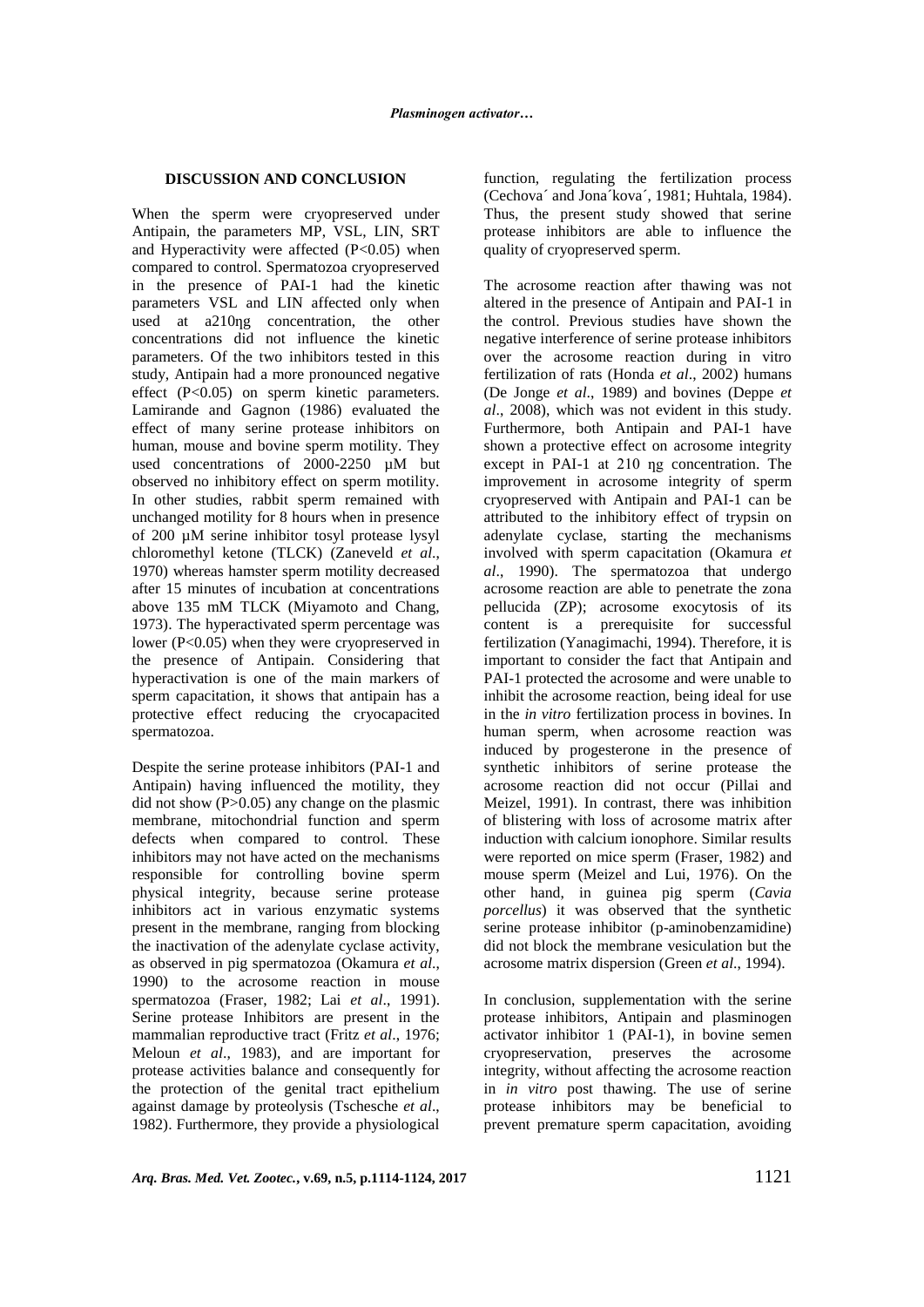### **DISCUSSION AND CONCLUSION**

When the sperm were cryopreserved under Antipain, the parameters MP, VSL, LIN, SRT and Hyperactivity were affected  $(P<0.05)$  when compared to control. Spermatozoa cryopreserved in the presence of PAI-1 had the kinetic parameters VSL and LIN affected only when used at a210ng concentration, the other concentrations did not influence the kinetic parameters. Of the two inhibitors tested in this study, Antipain had a more pronounced negative effect (P<0.05) on sperm kinetic parameters. Lamirande and Gagnon (1986) evaluated the effect of many serine protease inhibitors on human, mouse and bovine sperm motility. They used concentrations of 2000-2250 µM but observed no inhibitory effect on sperm motility. In other studies, rabbit sperm remained with unchanged motility for 8 hours when in presence of 200 µM serine inhibitor tosyl protease lysyl chloromethyl ketone (TLCK) (Zaneveld *et al*., 1970) whereas hamster sperm motility decreased after 15 minutes of incubation at concentrations above 135 mM TLCK (Miyamoto and Chang, 1973). The hyperactivated sperm percentage was lower (P<0.05) when they were cryopreserved in the presence of Antipain. Considering that hyperactivation is one of the main markers of sperm capacitation, it shows that antipain has a protective effect reducing the cryocapacited spermatozoa.

Despite the serine protease inhibitors (PAI-1 and Antipain) having influenced the motility, they did not show (P>0.05) any change on the plasmic membrane, mitochondrial function and sperm defects when compared to control. These inhibitors may not have acted on the mechanisms responsible for controlling bovine sperm physical integrity, because serine protease inhibitors act in various enzymatic systems present in the membrane, ranging from blocking the inactivation of the adenylate cyclase activity, as observed in pig spermatozoa (Okamura *et al*., 1990) to the acrosome reaction in mouse spermatozoa (Fraser, 1982; Lai *et al*., 1991). Serine protease Inhibitors are present in the mammalian reproductive tract (Fritz *et al*., 1976; Meloun *et al*., 1983), and are important for protease activities balance and consequently for the protection of the genital tract epithelium against damage by proteolysis (Tschesche *et al*., 1982). Furthermore, they provide a physiological function, regulating the fertilization process (Cechova´ and Jona´kova´, 1981; Huhtala, 1984). Thus, the present study showed that serine protease inhibitors are able to influence the quality of cryopreserved sperm.

The acrosome reaction after thawing was not altered in the presence of Antipain and PAI-1 in the control. Previous studies have shown the negative interference of serine protease inhibitors over the acrosome reaction during in vitro fertilization of rats (Honda *et al*., 2002) humans (De Jonge *et al*., 1989) and bovines (Deppe *et al*., 2008), which was not evident in this study. Furthermore, both Antipain and PAI-1 have shown a protective effect on acrosome integrity except in PAI-1 at 210 ng concentration. The improvement in acrosome integrity of sperm cryopreserved with Antipain and PAI-1 can be attributed to the inhibitory effect of trypsin on adenylate cyclase, starting the mechanisms involved with sperm capacitation (Okamura *et al*., 1990). The spermatozoa that undergo acrosome reaction are able to penetrate the zona pellucida (ZP); acrosome exocytosis of its content is a prerequisite for successful fertilization (Yanagimachi, 1994). Therefore, it is important to consider the fact that Antipain and PAI-1 protected the acrosome and were unable to inhibit the acrosome reaction, being ideal for use in the *in vitro* fertilization process in bovines. In human sperm, when acrosome reaction was induced by progesterone in the presence of synthetic inhibitors of serine protease the acrosome reaction did not occur (Pillai and Meizel, 1991). In contrast, there was inhibition of blistering with loss of acrosome matrix after induction with calcium ionophore. Similar results were reported on mice sperm (Fraser, 1982) and mouse sperm (Meizel and Lui, 1976). On the other hand, in guinea pig sperm (*Cavia porcellus*) it was observed that the synthetic serine protease inhibitor (p-aminobenzamidine) did not block the membrane vesiculation but the acrosome matrix dispersion (Green *et al*., 1994).

In conclusion, supplementation with the serine protease inhibitors, Antipain and plasminogen activator inhibitor 1 (PAI-1), in bovine semen cryopreservation, preserves the acrosome integrity, without affecting the acrosome reaction in *in vitro* post thawing. The use of serine protease inhibitors may be beneficial to prevent premature sperm capacitation, avoiding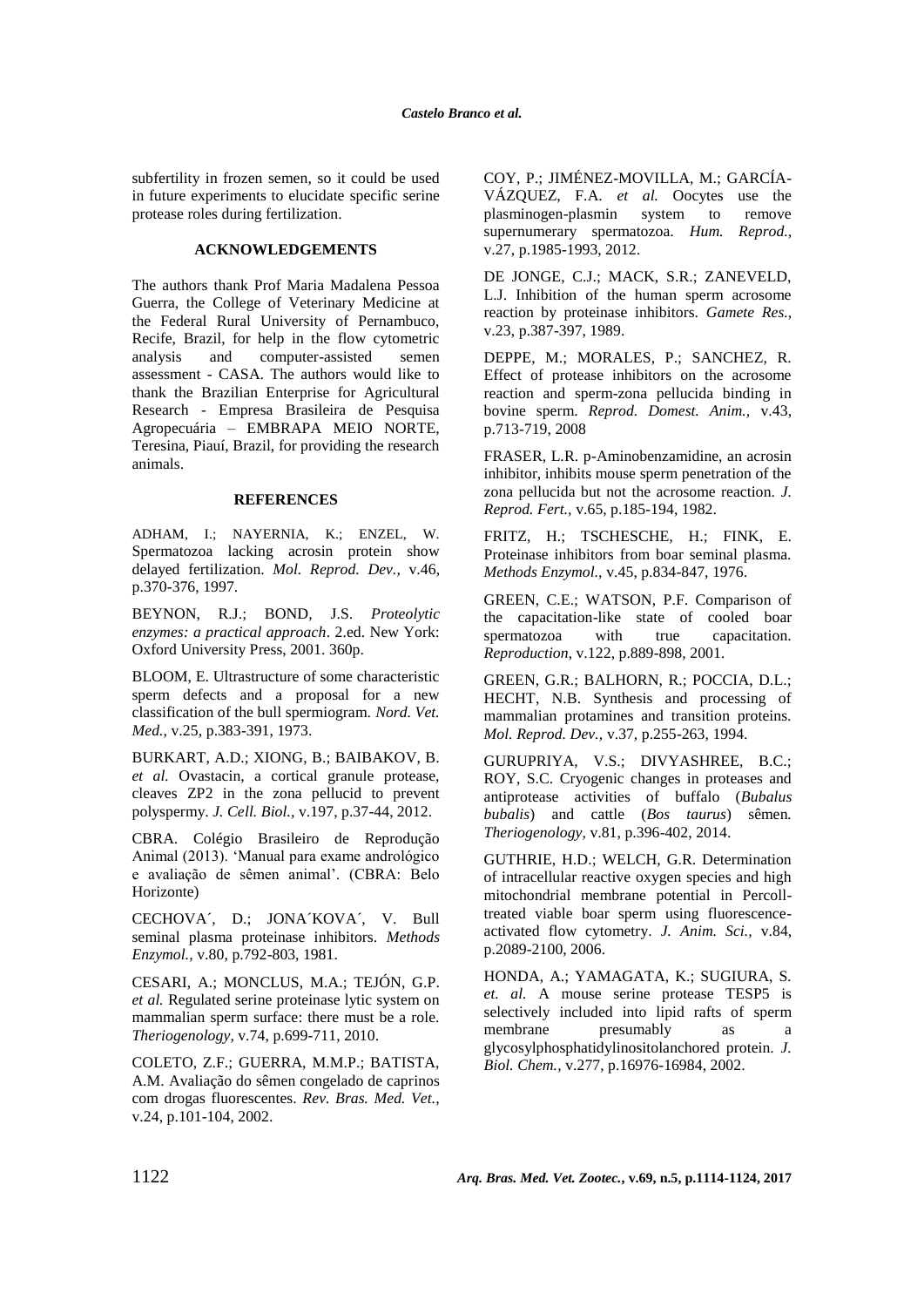subfertility in frozen semen, so it could be used in future experiments to elucidate specific serine protease roles during fertilization.

# **ACKNOWLEDGEMENTS**

The authors thank Prof Maria Madalena Pessoa Guerra, the College of Veterinary Medicine at the Federal Rural University of Pernambuco, Recife, Brazil, for help in the flow cytometric analysis and computer-assisted semen assessment - CASA. The authors would like to thank the Brazilian Enterprise for Agricultural Research - Empresa Brasileira de Pesquisa Agropecuária – EMBRAPA MEIO NORTE, Teresina, Piauí, Brazil, for providing the research animals.

#### **REFERENCES**

ADHAM, I.; NAYERNIA, K.; ENZEL, W. Spermatozoa lacking acrosin protein show delayed fertilization. *Mol. Reprod. Dev.,* v.46, p.370-376, 1997.

BEYNON, R.J.; BOND, J.S. *Proteolytic enzymes: a practical approach*. 2.ed. New York: Oxford University Press, 2001. 360p.

BLOOM, E. Ultrastructure of some characteristic sperm defects and a proposal for a new classification of the bull spermiogram. *Nord. Vet. Med.,* v.25, p.383-391, 1973.

BURKART, A.D.; XIONG, B.; BAIBAKOV, B. *et al.* Ovastacin, a cortical granule protease, cleaves ZP2 in the zona pellucid to prevent polyspermy. *J. Cell. Biol.,* v.197, p.37-44, 2012.

CBRA. Colégio Brasileiro de Reprodução Animal (2013). 'Manual para exame andrológico e avaliação de sêmen animal'. (CBRA: Belo Horizonte)

CECHOVA´, D.; JONA´KOVA´, V. Bull seminal plasma proteinase inhibitors. *Methods Enzymol.,* v.80, p.792-803, 1981.

CESARI, A.; MONCLUS, M.A.; TEJÓN, G.P. *et al.* Regulated serine proteinase lytic system on mammalian sperm surface: there must be a role. *Theriogenology,* v.74, p.699-711, 2010.

COLETO, Z.F.; GUERRA, M.M.P.; BATISTA, A.M. Avaliação do sêmen congelado de caprinos com drogas fluorescentes. *Rev. Bras. Med. Vet.,* v.24, p.101-104, 2002.

COY, P.; JIMÉNEZ-MOVILLA, M.; GARCÍA-VÁZQUEZ, F.A. *et al.* Oocytes use the plasminogen-plasmin system to remove supernumerary spermatozoa. *Hum. Reprod.,* v.27, p.1985-1993, 2012.

DE JONGE, C.J.; MACK, S.R.; ZANEVELD, L.J. Inhibition of the human sperm acrosome reaction by proteinase inhibitors. *Gamete Res.,* v.23, p.387-397, 1989.

DEPPE, M.; MORALES, P.; SANCHEZ, R. Effect of protease inhibitors on the acrosome reaction and sperm-zona pellucida binding in bovine sperm. *Reprod. Domest. Anim.,* v.43, p.713-719, 2008

FRASER, L.R. p-Aminobenzamidine, an acrosin inhibitor, inhibits mouse sperm penetration of the zona pellucida but not the acrosome reaction. *J. Reprod. Fert.,* v.65, p.185-194, 1982.

FRITZ, H.; TSCHESCHE, H.; FINK, E. Proteinase inhibitors from boar seminal plasma. *Methods Enzymol.,* v.45, p.834-847, 1976.

GREEN, C.E.; WATSON, P.F. Comparison of the capacitation-like state of cooled boar spermatozoa with true capacitation. *Reproduction*, v.122, p.889-898, 2001.

GREEN, G.R.; BALHORN, R.; POCCIA, D.L.; HECHT, N.B. Synthesis and processing of mammalian protamines and transition proteins. *Mol. Reprod. Dev.,* v.37, p.255-263, 1994.

GURUPRIYA, V.S.; DIVYASHREE, B.C.; ROY, S.C. Cryogenic changes in proteases and antiprotease activities of buffalo (*Bubalus bubalis*) and cattle (*Bos taurus*) sêmen*. Theriogenology,* v.81, p.396-402, 2014.

GUTHRIE, H.D.; WELCH, G.R. Determination of intracellular reactive oxygen species and high mitochondrial membrane potential in Percolltreated viable boar sperm using fluorescenceactivated flow cytometry. *J. Anim. Sci.,* v.84, p.2089-2100, 2006.

HONDA, A.; YAMAGATA, K.; SUGIURA, S*. et. al.* A mouse serine protease TESP5 is selectively included into lipid rafts of sperm membrane presumably as a glycosylphosphatidylinositolanchored protein. *J. Biol. Chem.,* v.277, p.16976-16984, 2002.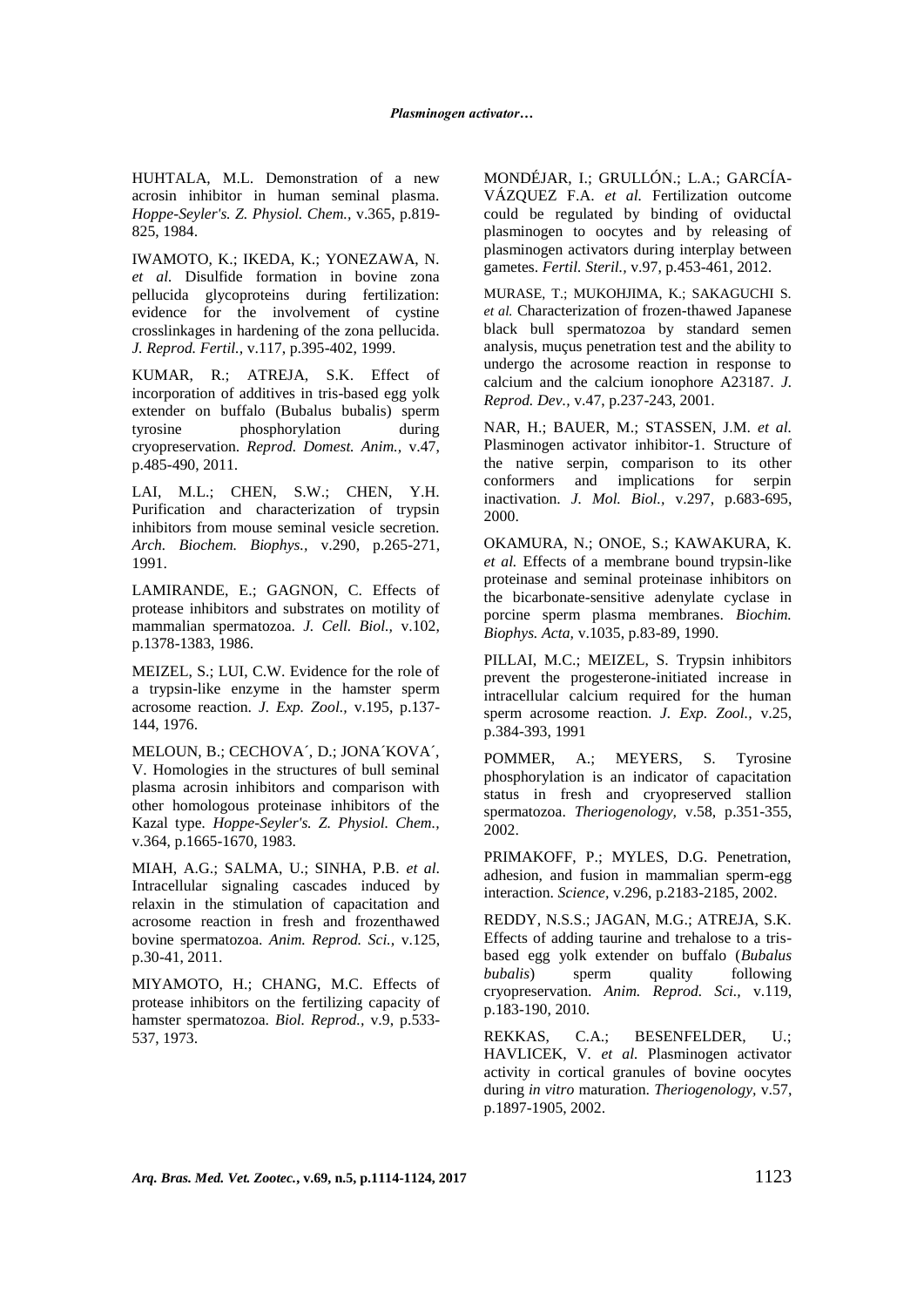HUHTALA, M.L. Demonstration of a new acrosin inhibitor in human seminal plasma. *Hoppe-Seyler's. Z. Physiol. Chem.,* v.365, p.819- 825, 1984.

IWAMOTO, K.; IKEDA, K.; YONEZAWA, N*. et al.* Disulfide formation in bovine zona pellucida glycoproteins during fertilization: evidence for the involvement of cystine crosslinkages in hardening of the zona pellucida. *J. Reprod. Fertil.,* v.117, p.395-402, 1999.

KUMAR, R.; ATREJA, S.K. Effect of incorporation of additives in tris-based egg yolk extender on buffalo (Bubalus bubalis) sperm tyrosine phosphorylation during cryopreservation. *Reprod. Domest. Anim.,* v.47, p.485-490, 2011.

LAI, M.L.; CHEN, S.W.; CHEN, Y.H. Purification and characterization of trypsin inhibitors from mouse seminal vesicle secretion. *Arch. Biochem. Biophys.,* v.290, p.265-271, 1991.

LAMIRANDE, E.; GAGNON, C. Effects of protease inhibitors and substrates on motility of mammalian spermatozoa. *J. Cell. Biol.,* v.102, p.1378-1383, 1986.

MEIZEL, S.; LUI, C.W. Evidence for the role of a trypsin-like enzyme in the hamster sperm acrosome reaction. *J. Exp. Zool.,* v.195, p.137- 144, 1976.

MELOUN, B.; CECHOVA´, D.; JONA´KOVA´, V. Homologies in the structures of bull seminal plasma acrosin inhibitors and comparison with other homologous proteinase inhibitors of the Kazal type*. Hoppe-Seyler's. Z. Physiol. Chem.,* v.364, p.1665-1670, 1983.

MIAH, A.G.; SALMA, U.; SINHA, P.B. *et al*. Intracellular signaling cascades induced by relaxin in the stimulation of capacitation and acrosome reaction in fresh and frozenthawed bovine spermatozoa. *Anim. Reprod. Sci.,* v.125, p.30-41, 2011.

MIYAMOTO, H.; CHANG, M.C. Effects of protease inhibitors on the fertilizing capacity of hamster spermatozoa. *Biol. Reprod.,* v.9, p.533- 537, 1973.

MONDÉJAR, I.; GRULLÓN.; L.A.; GARCÍA-VÁZQUEZ F.A. *et al.* Fertilization outcome could be regulated by binding of oviductal plasminogen to oocytes and by releasing of plasminogen activators during interplay between gametes. *Fertil. Steril.,* v.97, p.453-461, 2012.

MURASE, T.; MUKOHJIMA, K.; SAKAGUCHI S. *et al.* Characterization of frozen-thawed Japanese black bull spermatozoa by standard semen analysis, muçus penetration test and the ability to undergo the acrosome reaction in response to calcium and the calcium ionophore A23187. *J. Reprod. Dev.,* v.47, p.237-243, 2001.

NAR, H.; BAUER, M.; STASSEN, J.M. *et al.* Plasminogen activator inhibitor-1. Structure of the native serpin, comparison to its other conformers and implications for serpin inactivation. *J. Mol. Biol.,* v.297, p.683-695, 2000.

OKAMURA, N.; ONOE, S.; KAWAKURA, K. *et al.* Effects of a membrane bound trypsin-like proteinase and seminal proteinase inhibitors on the bicarbonate-sensitive adenylate cyclase in porcine sperm plasma membranes. *Biochim. Biophys. Acta,* v.1035, p.83-89, 1990.

PILLAI, M.C.; MEIZEL, S. Trypsin inhibitors prevent the progesterone-initiated increase in intracellular calcium required for the human sperm acrosome reaction. *J. Exp. Zool.,* v.25, p.384-393, 1991

POMMER, A.; MEYERS, S. Tyrosine phosphorylation is an indicator of capacitation status in fresh and cryopreserved stallion spermatozoa. *Theriogenology,* v.58, p.351-355, 2002.

PRIMAKOFF, P.; MYLES, D.G. Penetration, adhesion, and fusion in mammalian sperm-egg interaction. *Science,* v.296, p.2183-2185, 2002.

REDDY, N.S.S.; JAGAN, M.G.; ATREJA, S.K. Effects of adding taurine and trehalose to a trisbased egg yolk extender on buffalo (*Bubalus bubalis*) sperm quality following cryopreservation. *Anim. Reprod. Sci.,* v.119, p.183-190, 2010.

REKKAS, C.A.; BESENFELDER, U.; HAVLICEK, V*. et al.* Plasminogen activator activity in cortical granules of bovine oocytes during *in vitro* maturation. *Theriogenology,* v.57, p.1897-1905, 2002.